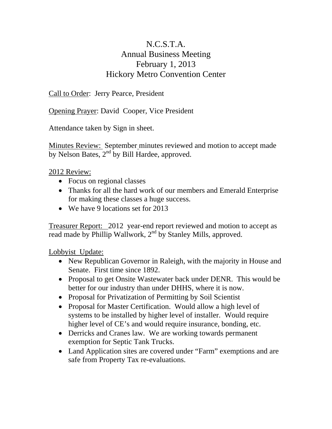## N.C.S.T.A. Annual Business Meeting February 1, 2013 Hickory Metro Convention Center

Call to Order: Jerry Pearce, President

Opening Prayer: David Cooper, Vice President

Attendance taken by Sign in sheet.

Minutes Review: September minutes reviewed and motion to accept made by Nelson Bates,  $2<sup>nd</sup>$  by Bill Hardee, approved.

## 2012 Review:

- Focus on regional classes
- Thanks for all the hard work of our members and Emerald Enterprise for making these classes a huge success.
- We have 9 locations set for 2013

Treasurer Report: 2012 year-end report reviewed and motion to accept as read made by Phillip Wallwork, 2<sup>nd</sup> by Stanley Mills, approved.

Lobbyist Update:

- New Republican Governor in Raleigh, with the majority in House and Senate. First time since 1892.
- Proposal to get Onsite Wastewater back under DENR. This would be better for our industry than under DHHS, where it is now.
- Proposal for Privatization of Permitting by Soil Scientist
- Proposal for Master Certification. Would allow a high level of systems to be installed by higher level of installer. Would require higher level of CE's and would require insurance, bonding, etc.
- Derricks and Cranes law. We are working towards permanent exemption for Septic Tank Trucks.
- Land Application sites are covered under "Farm" exemptions and are safe from Property Tax re-evaluations.